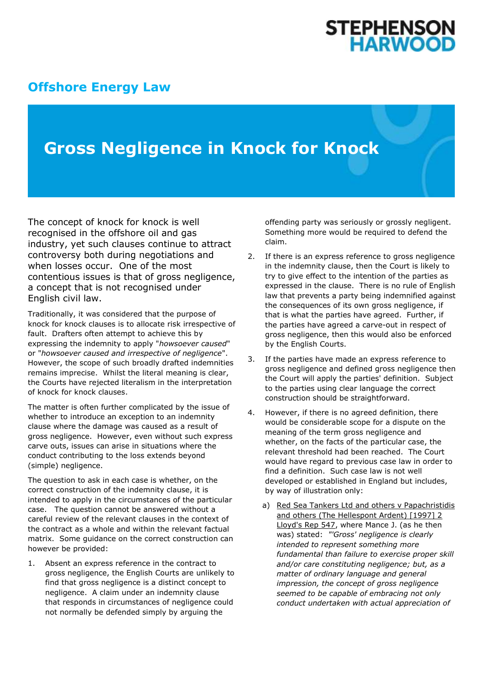# **STEPHENSON<br>HARWOOD**

### **[Offshore Energy Law](http://www.offshoreenergylaw.com/)**

## **Gross Negligence in Knock for Knock**

The concept of knock for knock is well recognised in the offshore oil and gas industry, yet such clauses continue to attract controversy both during negotiations and when losses occur. One of the most contentious issues is that of gross negligence, a concept that is not recognised under English civil law.

Traditionally, it was considered that the purpose of knock for knock clauses is to allocate risk irrespective of fault. Drafters often attempt to achieve this by expressing the indemnity to apply "*howsoever caused*" or "*howsoever caused and irrespective of negligence*". However, the scope of such broadly drafted indemnities remains imprecise. Whilst the literal meaning is clear, the Courts have rejected literalism in the interpretation of knock for knock clauses.

The matter is often further complicated by the issue of whether to introduce an exception to an indemnity clause where the damage was caused as a result of gross negligence. However, even without such express carve outs, issues can arise in situations where the conduct contributing to the loss extends beyond (simple) negligence.

The question to ask in each case is whether, on the correct construction of the indemnity clause, it is intended to apply in the circumstances of the particular case. The question cannot be answered without a careful review of the relevant clauses in the context of the contract as a whole and within the relevant factual matrix. Some guidance on the correct construction can however be provided:

1. Absent an express reference in the contract to gross negligence, the English Courts are unlikely to find that gross negligence is a distinct concept to negligence. A claim under an indemnity clause that responds in circumstances of negligence could not normally be defended simply by arguing the

offending party was seriously or grossly negligent. Something more would be required to defend the claim.

- 2. If there is an express reference to gross negligence in the indemnity clause, then the Court is likely to try to give effect to the intention of the parties as expressed in the clause. There is no rule of English law that prevents a party being indemnified against the consequences of its own gross negligence, if that is what the parties have agreed. Further, if the parties have agreed a carve-out in respect of gross negligence, then this would also be enforced by the English Courts.
- 3. If the parties have made an express reference to gross negligence and defined gross negligence then the Court will apply the parties' definition. Subject to the parties using clear language the correct construction should be straightforward.
- 4. However, if there is no agreed definition, there would be considerable scope for a dispute on the meaning of the term gross negligence and whether, on the facts of the particular case, the relevant threshold had been reached. The Court would have regard to previous case law in order to find a definition. Such case law is not well developed or established in England but includes, by way of illustration only:
	- a) Red Sea Tankers Ltd and others v Papachristidis and others (The Hellespont Ardent) [1997] 2 Lloyd's Rep 547, where Mance J. (as he then was) stated: *"'Gross' negligence is clearly intended to represent something more fundamental than failure to exercise proper skill and/or care constituting negligence; but, as a matter of ordinary language and general impression, the concept of gross negligence seemed to be capable of embracing not only conduct undertaken with actual appreciation of*